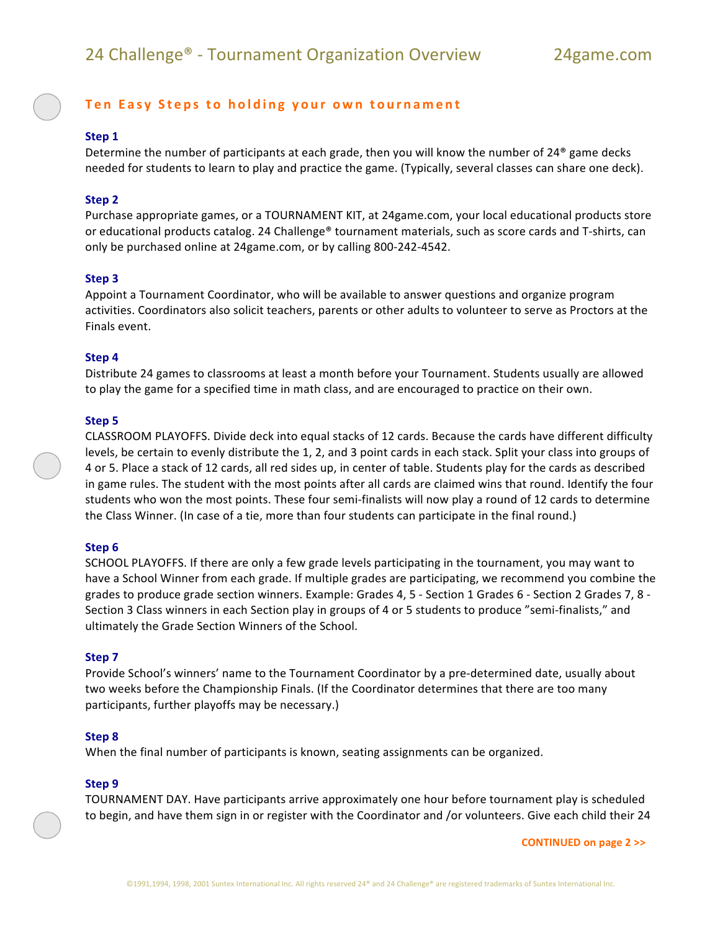# **Ten Easy Steps to holding your own tournament**

## **Step 1**

Determine the number of participants at each grade, then you will know the number of 24 $^{\circ}$  game decks needed for students to learn to play and practice the game. (Typically, several classes can share one deck).

## **Step 2**

Purchase appropriate games, or a TOURNAMENT KIT, at 24game.com, your local educational products store or educational products catalog. 24 Challenge® tournament materials, such as score cards and T-shirts, can only be purchased online at 24game.com, or by calling 800-242-4542.

## **Step 3**

Appoint a Tournament Coordinator, who will be available to answer questions and organize program activities. Coordinators also solicit teachers, parents or other adults to volunteer to serve as Proctors at the Finals event.

## **Step 4**

Distribute 24 games to classrooms at least a month before your Tournament. Students usually are allowed to play the game for a specified time in math class, and are encouraged to practice on their own.

#### **Step 5**

CLASSROOM PLAYOFFS. Divide deck into equal stacks of 12 cards. Because the cards have different difficulty levels, be certain to evenly distribute the 1, 2, and 3 point cards in each stack. Split your class into groups of 4 or 5. Place a stack of 12 cards, all red sides up, in center of table. Students play for the cards as described in game rules. The student with the most points after all cards are claimed wins that round. Identify the four students who won the most points. These four semi-finalists will now play a round of 12 cards to determine the Class Winner. (In case of a tie, more than four students can participate in the final round.)

#### **Step 6**

SCHOOL PLAYOFFS. If there are only a few grade levels participating in the tournament, you may want to have a School Winner from each grade. If multiple grades are participating, we recommend you combine the grades to produce grade section winners. Example: Grades 4, 5 - Section 1 Grades 6 - Section 2 Grades 7, 8 -Section 3 Class winners in each Section play in groups of 4 or 5 students to produce "semi-finalists," and ultimately the Grade Section Winners of the School.

#### **Step 7**

Provide School's winners' name to the Tournament Coordinator by a pre-determined date, usually about two weeks before the Championship Finals. (If the Coordinator determines that there are too many participants, further playoffs may be necessary.)

#### **Step 8**

When the final number of participants is known, seating assignments can be organized.

#### **Step 9**

TOURNAMENT DAY. Have participants arrive approximately one hour before tournament play is scheduled to begin, and have them sign in or register with the Coordinator and /or volunteers. Give each child their 24

**CONTINUED on page 2 >>**